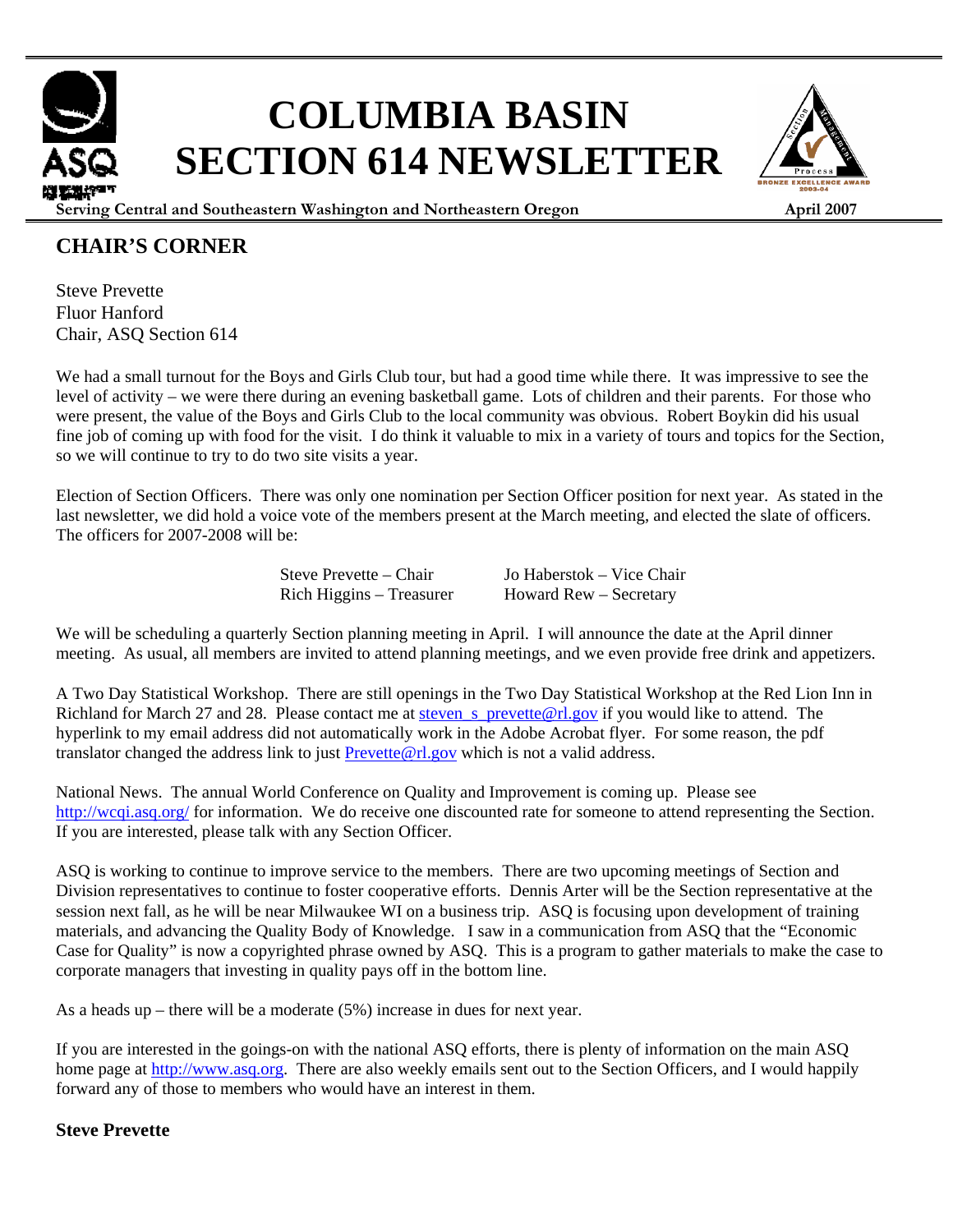# **COLUMBIA BASIN SECTION 614 NEWSLETTER**



**Serving Central and Southeastern Washington and Northeastern Oregon April 2007**

### **CHAIR'S CORNER**

Steve Prevette Fluor Hanford Chair, ASQ Section 614

We had a small turnout for the Boys and Girls Club tour, but had a good time while there. It was impressive to see the level of activity – we were there during an evening basketball game. Lots of children and their parents. For those who were present, the value of the Boys and Girls Club to the local community was obvious. Robert Boykin did his usual fine job of coming up with food for the visit. I do think it valuable to mix in a variety of tours and topics for the Section, so we will continue to try to do two site visits a year.

Election of Section Officers. There was only one nomination per Section Officer position for next year. As stated in the last newsletter, we did hold a voice vote of the members present at the March meeting, and elected the slate of officers. The officers for 2007-2008 will be:

> Steve Prevette – Chair Jo Haberstok – Vice Chair Rich Higgins – Treasurer Howard Rew – Secretary

We will be scheduling a quarterly Section planning meeting in April. I will announce the date at the April dinner meeting. As usual, all members are invited to attend planning meetings, and we even provide free drink and appetizers.

A Two Day Statistical Workshop. There are still openings in the Two Day Statistical Workshop at the Red Lion Inn in Richland for March 27 and 28. Please contact me at steven s prevette@rl.gov if you would like to attend. The hyperlink to my email address did not automatically work in the Adobe Acrobat flyer. For some reason, the pdf translator changed the address link to just **Prevette@rl.gov** which is not a valid address.

National News. The annual World Conference on Quality and Improvement is coming up. Please see http://wcqi.asq.org/ for information. We do receive one discounted rate for someone to attend representing the Section. If you are interested, please talk with any Section Officer.

ASQ is working to continue to improve service to the members. There are two upcoming meetings of Section and Division representatives to continue to foster cooperative efforts. Dennis Arter will be the Section representative at the session next fall, as he will be near Milwaukee WI on a business trip. ASQ is focusing upon development of training materials, and advancing the Quality Body of Knowledge. I saw in a communication from ASQ that the "Economic Case for Quality" is now a copyrighted phrase owned by ASQ. This is a program to gather materials to make the case to corporate managers that investing in quality pays off in the bottom line.

As a heads up – there will be a moderate (5%) increase in dues for next year.

If you are interested in the goings-on with the national ASQ efforts, there is plenty of information on the main ASQ home page at http://www.asq.org. There are also weekly emails sent out to the Section Officers, and I would happily forward any of those to members who would have an interest in them.

#### **Steve Prevette**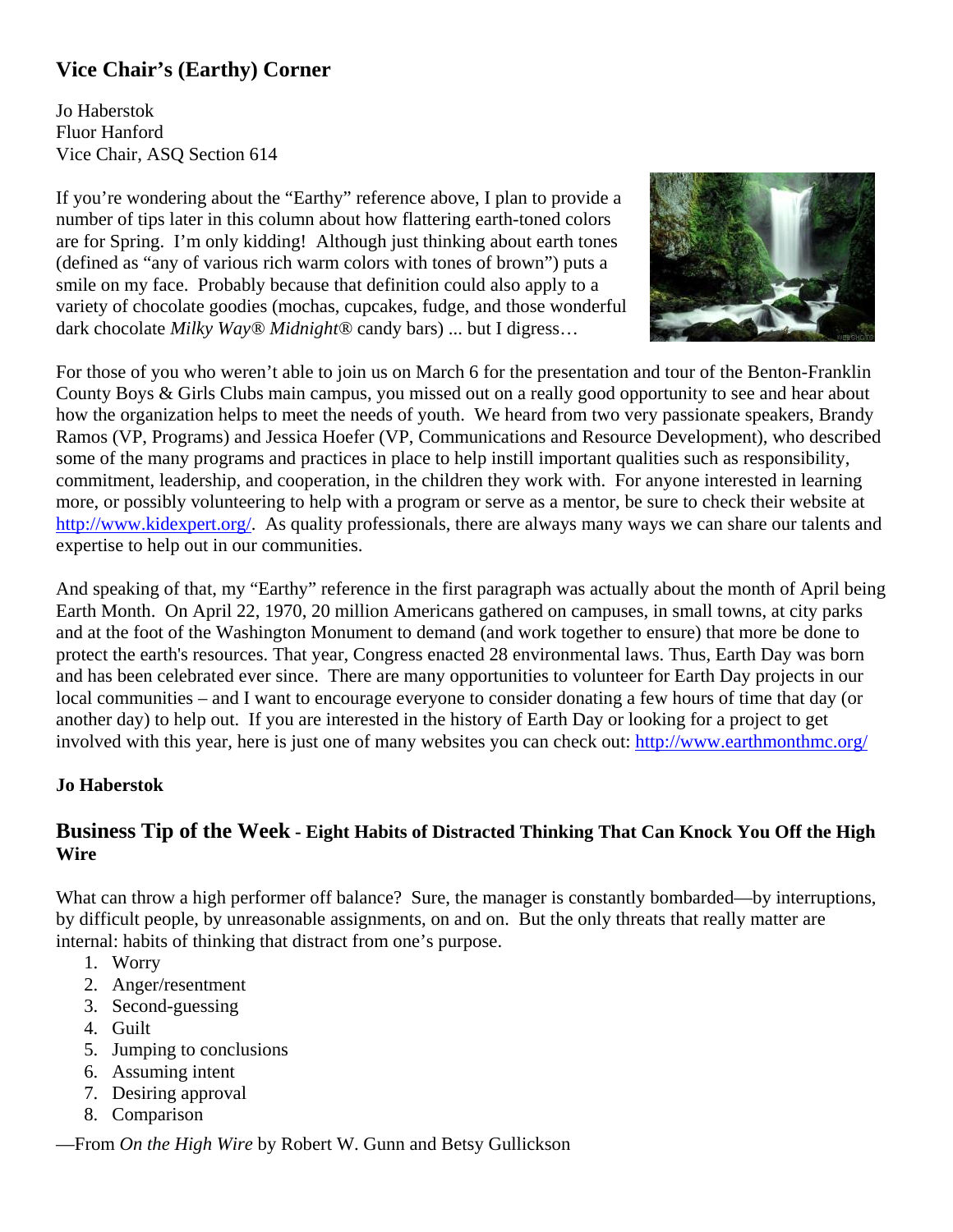### **Vice Chair's (Earthy) Corner**

Jo Haberstok Fluor Hanford Vice Chair, ASQ Section 614

If you're wondering about the "Earthy" reference above, I plan to provide a number of tips later in this column about how flattering earth-toned colors are for Spring. I'm only kidding! Although just thinking about earth tones (defined as "any of various rich warm colors with tones of brown") puts a smile on my face. Probably because that definition could also apply to a variety of chocolate goodies (mochas, cupcakes, fudge, and those wonderful dark chocolate *Milky Way® Midnight®* candy bars) ... but I digress…



For those of you who weren't able to join us on March 6 for the presentation and tour of the Benton-Franklin County Boys & Girls Clubs main campus, you missed out on a really good opportunity to see and hear about how the organization helps to meet the needs of youth. We heard from two very passionate speakers, Brandy Ramos (VP, Programs) and Jessica Hoefer (VP, Communications and Resource Development), who described some of the many programs and practices in place to help instill important qualities such as responsibility, commitment, leadership, and cooperation, in the children they work with. For anyone interested in learning more, or possibly volunteering to help with a program or serve as a mentor, be sure to check their website at http://www.kidexpert.org/. As quality professionals, there are always many ways we can share our talents and expertise to help out in our communities.

And speaking of that, my "Earthy" reference in the first paragraph was actually about the month of April being Earth Month. On April 22, 1970, 20 million Americans gathered on campuses, in small towns, at city parks and at the foot of the Washington Monument to demand (and work together to ensure) that more be done to protect the earth's resources. That year, Congress enacted 28 environmental laws. Thus, Earth Day was born and has been celebrated ever since. There are many opportunities to volunteer for Earth Day projects in our local communities – and I want to encourage everyone to consider donating a few hours of time that day (or another day) to help out. If you are interested in the history of Earth Day or looking for a project to get involved with this year, here is just one of many websites you can check out: http://www.earthmonthmc.org/

#### **Jo Haberstok**

#### **Business Tip of the Week - Eight Habits of Distracted Thinking That Can Knock You Off the High Wire**

What can throw a high performer off balance? Sure, the manager is constantly bombarded—by interruptions, by difficult people, by unreasonable assignments, on and on. But the only threats that really matter are internal: habits of thinking that distract from one's purpose.

- 1. Worry
- 2. Anger/resentment
- 3. Second-guessing
- 4. Guilt
- 5. Jumping to conclusions
- 6. Assuming intent
- 7. Desiring approval
- 8. Comparison

—From *On the High Wire* by Robert W. Gunn and Betsy Gullickson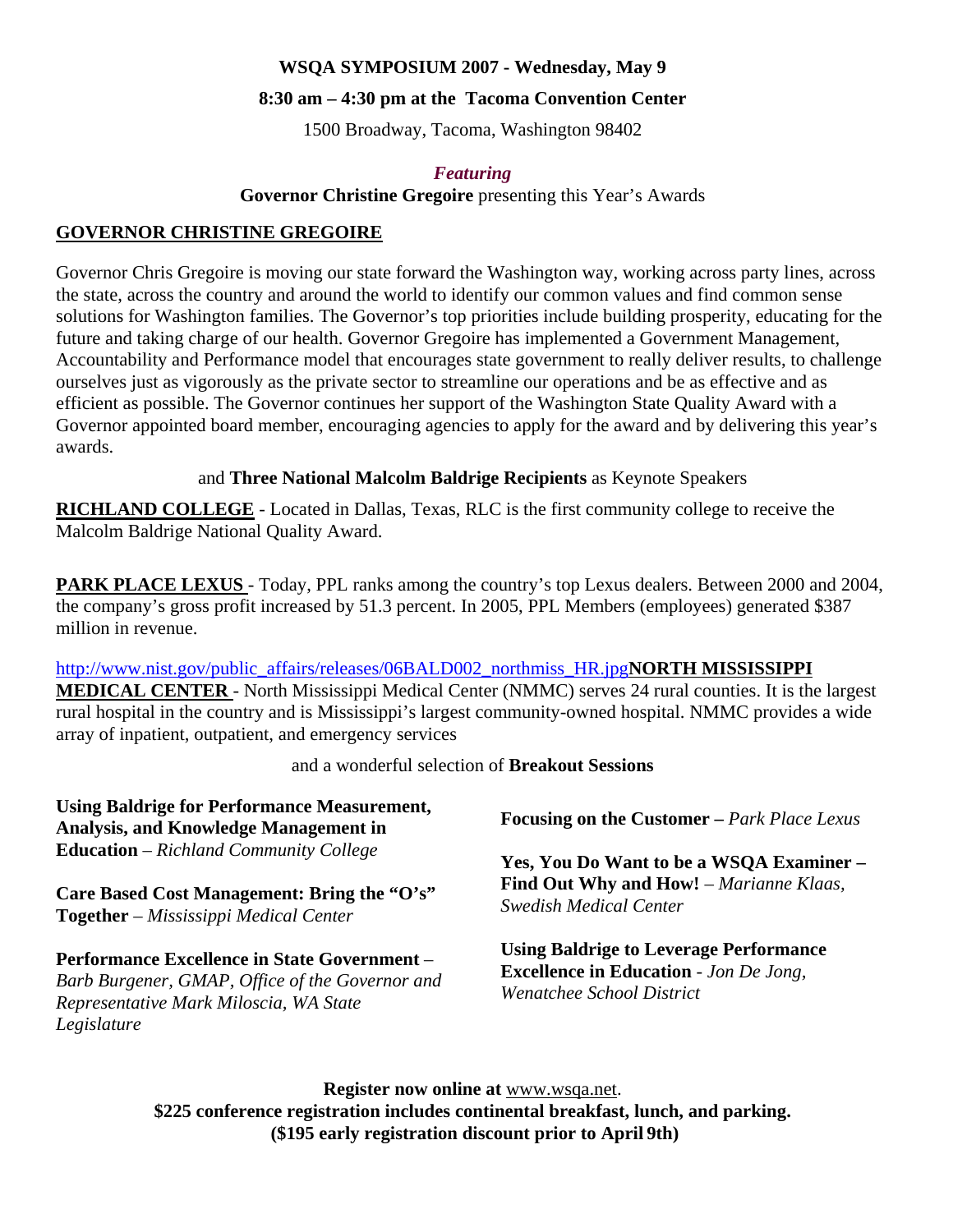#### **WSQA SYMPOSIUM 2007 - Wednesday, May 9**

#### **8:30 am – 4:30 pm at the Tacoma Convention Center**

1500 Broadway, Tacoma, Washington 98402

#### *Featuring*

**Governor Christine Gregoire** presenting this Year's Awards

#### **GOVERNOR CHRISTINE GREGOIRE**

Governor Chris Gregoire is moving our state forward the Washington way, working across party lines, across the state, across the country and around the world to identify our common values and find common sense solutions for Washington families. The Governor's top priorities include building prosperity, educating for the future and taking charge of our health. Governor Gregoire has implemented a Government Management, Accountability and Performance model that encourages state government to really deliver results, to challenge ourselves just as vigorously as the private sector to streamline our operations and be as effective and as efficient as possible. The Governor continues her support of the Washington State Quality Award with a Governor appointed board member, encouraging agencies to apply for the award and by delivering this year's awards.

#### and **Three National Malcolm Baldrige Recipients** as Keynote Speakers

**RICHLAND COLLEGE** - Located in Dallas, Texas, RLC is the first community college to receive the Malcolm Baldrige National Quality Award.

**PARK PLACE LEXUS** - Today, PPL ranks among the country's top Lexus dealers. Between 2000 and 2004, the company's gross profit increased by 51.3 percent. In 2005, PPL Members (employees) generated \$387 million in revenue.

#### http://www.nist.gov/public\_affairs/releases/06BALD002\_northmiss\_HR.jpg**NORTH MISSISSIPPI MEDICAL CENTER** - North Mississippi Medical Center (NMMC) serves 24 rural counties. It is the largest rural hospital in the country and is Mississippi's largest community-owned hospital. NMMC provides a wide array of inpatient, outpatient, and emergency services

and a wonderful selection of **Breakout Sessions**

| <b>Using Baldrige for Performance Measurement,</b><br><b>Analysis, and Knowledge Management in</b>                                                       | <b>Focusing on the Customer – Park Place Lexus</b>                                                                          |  |  |
|----------------------------------------------------------------------------------------------------------------------------------------------------------|-----------------------------------------------------------------------------------------------------------------------------|--|--|
| <b>Education</b> – Richland Community College                                                                                                            | Yes, You Do Want to be a WSQA Examiner -                                                                                    |  |  |
| Care Based Cost Management: Bring the "O's"<br><b>Together</b> – Mississippi Medical Center                                                              | Find Out Why and How! - Marianne Klaas,<br><b>Swedish Medical Center</b>                                                    |  |  |
| Performance Excellence in State Government -<br>Barb Burgener, GMAP, Office of the Governor and<br>Representative Mark Miloscia, WA State<br>Legislature | <b>Using Baldrige to Leverage Performance</b><br><b>Excellence in Education</b> - Jon De Jong,<br>Wenatchee School District |  |  |

**Register now online at** www.wsqa.net. **\$225 conference registration includes continental breakfast, lunch, and parking. (\$195 early registration discount prior to April 9th)**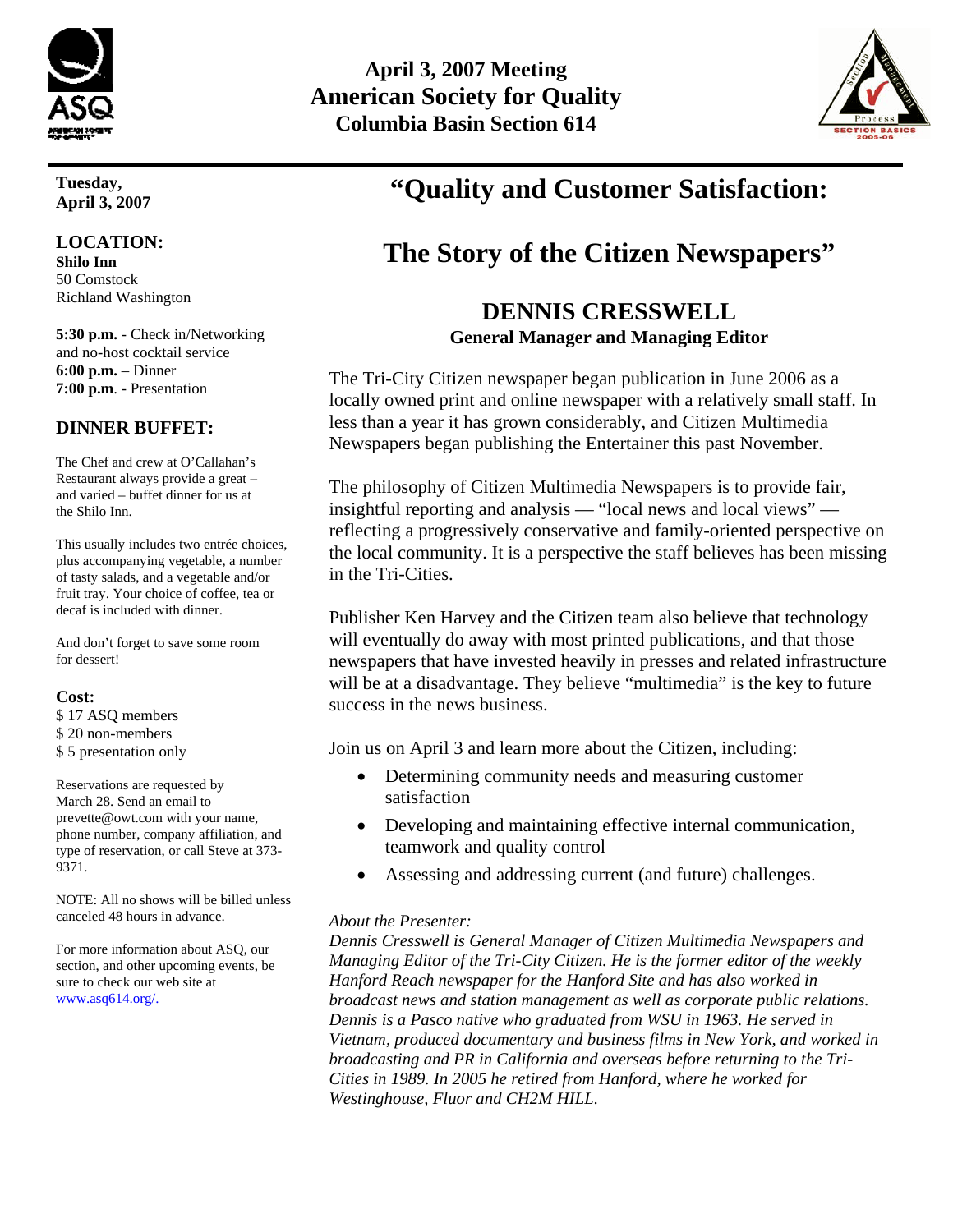

**Tuesday, April 3, 2007**

#### **LOCATION:**

**Shilo Inn**  50 Comstock Richland Washington

**5:30 p.m.** - Check in/Networking and no-host cocktail service **6:00 p.m.** – Dinner **7:00 p.m**. - Presentation

#### **DINNER BUFFET:**

The Chef and crew at O'Callahan's Restaurant always provide a great – and varied – buffet dinner for us at the Shilo Inn.

This usually includes two entrée choices, plus accompanying vegetable, a number of tasty salads, and a vegetable and/or fruit tray. Your choice of coffee, tea or decaf is included with dinner.

And don't forget to save some room for dessert!

#### **Cost:**

\$ 17 ASQ members

- \$ 20 non-members
- \$ 5 presentation only

Reservations are requested by March 28. Send an email to prevette@owt.com with your name, phone number, company affiliation, and type of reservation, or call Steve at 373- 9371.

NOTE: All no shows will be billed unless canceled 48 hours in advance.

For more information about ASQ, our section, and other upcoming events, be sure to check our web site at www.asq614.org/.

# **April 3, 2007 Meeting American Society for Quality Columbia Basin Section 614**



# **"Quality and Customer Satisfaction:**

# **The Story of the Citizen Newspapers"**

#### **DENNIS CRESSWELL General Manager and Managing Editor**

The Tri-City Citizen newspaper began publication in June 2006 as a locally owned print and online newspaper with a relatively small staff. In less than a year it has grown considerably, and Citizen Multimedia Newspapers began publishing the Entertainer this past November.

The philosophy of Citizen Multimedia Newspapers is to provide fair, insightful reporting and analysis — "local news and local views" reflecting a progressively conservative and family-oriented perspective on the local community. It is a perspective the staff believes has been missing in the Tri-Cities.

Publisher Ken Harvey and the Citizen team also believe that technology will eventually do away with most printed publications, and that those newspapers that have invested heavily in presses and related infrastructure will be at a disadvantage. They believe "multimedia" is the key to future success in the news business.

Join us on April 3 and learn more about the Citizen, including:

- Determining community needs and measuring customer satisfaction
- Developing and maintaining effective internal communication, teamwork and quality control
- Assessing and addressing current (and future) challenges.

#### *About the Presenter:*

*Dennis Cresswell is General Manager of Citizen Multimedia Newspapers and Managing Editor of the Tri-City Citizen. He is the former editor of the weekly Hanford Reach newspaper for the Hanford Site and has also worked in broadcast news and station management as well as corporate public relations. Dennis is a Pasco native who graduated from WSU in 1963. He served in Vietnam, produced documentary and business films in New York, and worked in broadcasting and PR in California and overseas before returning to the Tri-Cities in 1989. In 2005 he retired from Hanford, where he worked for Westinghouse, Fluor and CH2M HILL.*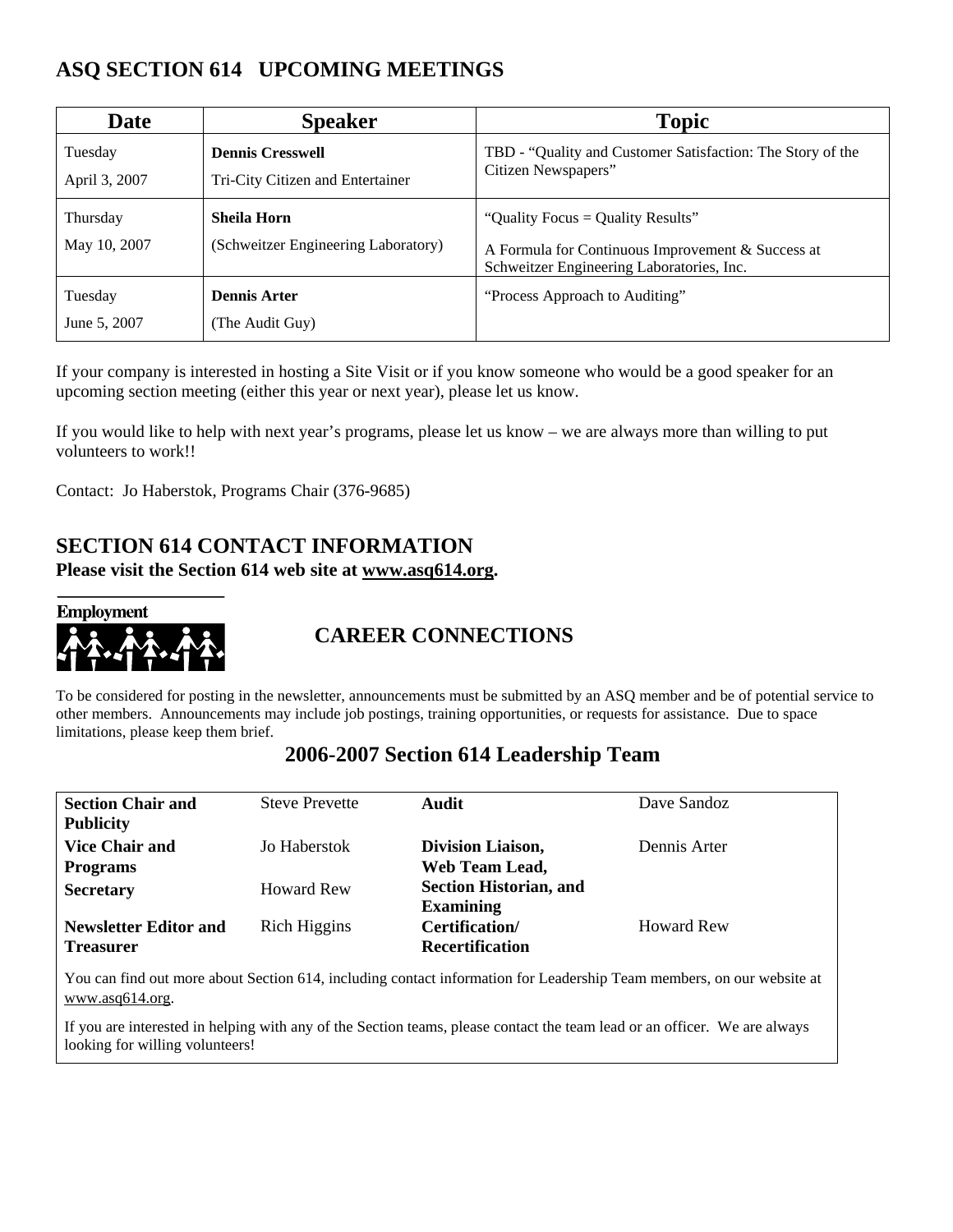## **ASQ SECTION 614 UPCOMING MEETINGS**

| Date                     | <b>Speaker</b>                                              | <b>Topic</b>                                                                                                                        |
|--------------------------|-------------------------------------------------------------|-------------------------------------------------------------------------------------------------------------------------------------|
| Tuesday<br>April 3, 2007 | <b>Dennis Cresswell</b><br>Tri-City Citizen and Entertainer | TBD - "Quality and Customer Satisfaction: The Story of the<br>Citizen Newspapers"                                                   |
| Thursday<br>May 10, 2007 | <b>Sheila Horn</b><br>(Schweitzer Engineering Laboratory)   | "Quality Focus = Quality Results"<br>A Formula for Continuous Improvement & Success at<br>Schweitzer Engineering Laboratories, Inc. |
| Tuesday<br>June 5, 2007  | <b>Dennis Arter</b><br>(The Audit Guy)                      | "Process Approach to Auditing"                                                                                                      |

If your company is interested in hosting a Site Visit or if you know someone who would be a good speaker for an upcoming section meeting (either this year or next year), please let us know.

If you would like to help with next year's programs, please let us know – we are always more than willing to put volunteers to work!!

Contact: Jo Haberstok, Programs Chair (376-9685)

# **SECTION 614 CONTACT INFORMATION**

**Please visit the Section 614 web site at www.asq614.org.** 



# **CAREER CONNECTIONS**

To be considered for posting in the newsletter, announcements must be submitted by an ASQ member and be of potential service to other members. Announcements may include job postings, training opportunities, or requests for assistance. Due to space limitations, please keep them brief.

### **2006-2007 Section 614 Leadership Team**

| <b>Section Chair and</b>     | <b>Steve Prevette</b> | Audit                         | Dave Sandoz       |
|------------------------------|-----------------------|-------------------------------|-------------------|
| <b>Publicity</b>             |                       |                               |                   |
| <b>Vice Chair and</b>        | Jo Haberstok          | <b>Division Liaison,</b>      | Dennis Arter      |
| <b>Programs</b>              |                       | Web Team Lead,                |                   |
| <b>Secretary</b>             | <b>Howard Rew</b>     | <b>Section Historian, and</b> |                   |
|                              |                       | <b>Examining</b>              |                   |
| <b>Newsletter Editor and</b> | Rich Higgins          | Certification/                | <b>Howard Rew</b> |
| <b>Treasurer</b>             |                       | <b>Recertification</b>        |                   |

You can find out more about Section 614, including contact information for Leadership Team members, on our website at www.asq614.org.

If you are interested in helping with any of the Section teams, please contact the team lead or an officer. We are always looking for willing volunteers!